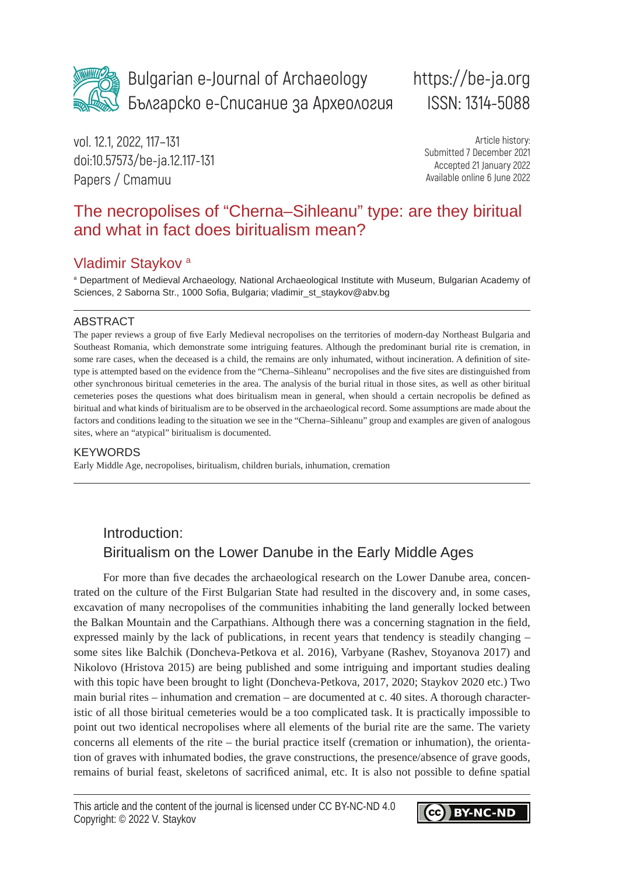

Bulgarian e-Journal of Archaeology Българско е-Списание за Археология

# https://be-ja.org ISSN: 1314-5088

vol. 12.1, 2022, 117–131 doi:10.57573/be-ja.12.117-131 Papers / Cmamuu

Article history: Submitted 7 December 2021 Accepted 21 January 2022 Available online 6 June 2022

## The necropolises of "Cherna–Sihleanu" type: are they biritual and what in fact does biritualism mean?

### Vladimir Staykov a

a Department of Medieval Archaeology, National Archaeological Institute with Museum, Bulgarian Academy of Sciences, 2 Saborna Str., 1000 Sofia, Bulgaria; vladimir\_st\_staykov@abv.bg

#### ABSTRACT

The paper reviews a group of five Early Medieval necropolises on the territories of modern-day Northeast Bulgaria and Southeast Romania, which demonstrate some intriguing features. Although the predominant burial rite is cremation, in some rare cases, when the deceased is a child, the remains are only inhumated, without incineration. A definition of sitetype is attempted based on the evidence from the "Cherna–Sihleanu" necropolises and the five sites are distinguished from other synchronous biritual cemeteries in the area. The analysis of the burial ritual in those sites, as well as other biritual cemeteries poses the questions what does biritualism mean in general, when should a certain necropolis be defined as biritual and what kinds of biritualism are to be observed in the archaeological record. Some assumptions are made about the factors and conditions leading to the situation we see in the "Cherna–Sihleanu" group and examples are given of analogous sites, where an "atypical" biritualism is documented.

#### **KEYWORDS**

Early Middle Age, necropolises, biritualism, children burials, inhumation, cremation

### Introduction: Biritualism on the Lower Danube in the Early Middle Ages

For more than five decades the archaeological research on the Lower Danube area, concentrated on the culture of the First Bulgarian State had resulted in the discovery and, in some cases, excavation of many necropolises of the communities inhabiting the land generally locked between the Balkan Mountain and the Carpathians. Although there was a concerning stagnation in the field, expressed mainly by the lack of publications, in recent years that tendency is steadily changing – some sites like Balchik (Doncheva-Petkova et al. 2016), Varbyane (Rashev, Stoyanova 2017) and Nikolovo (Hristova 2015) are being published and some intriguing and important studies dealing with this topic have been brought to light (Doncheva-Petkova, 2017, 2020; Staykov 2020 etc.) Two main burial rites – inhumation and cremation – are documented at c. 40 sites. A thorough characteristic of all those biritual cemeteries would be a too complicated task. It is practically impossible to point out two identical necropolises where all elements of the burial rite are the same. The variety concerns all elements of the rite – the burial practice itself (cremation or inhumation), the orientation of graves with inhumated bodies, the grave constructions, the presence/absence of grave goods, remains of burial feast, skeletons of sacrificed animal, etc. It is also not possible to define spatial

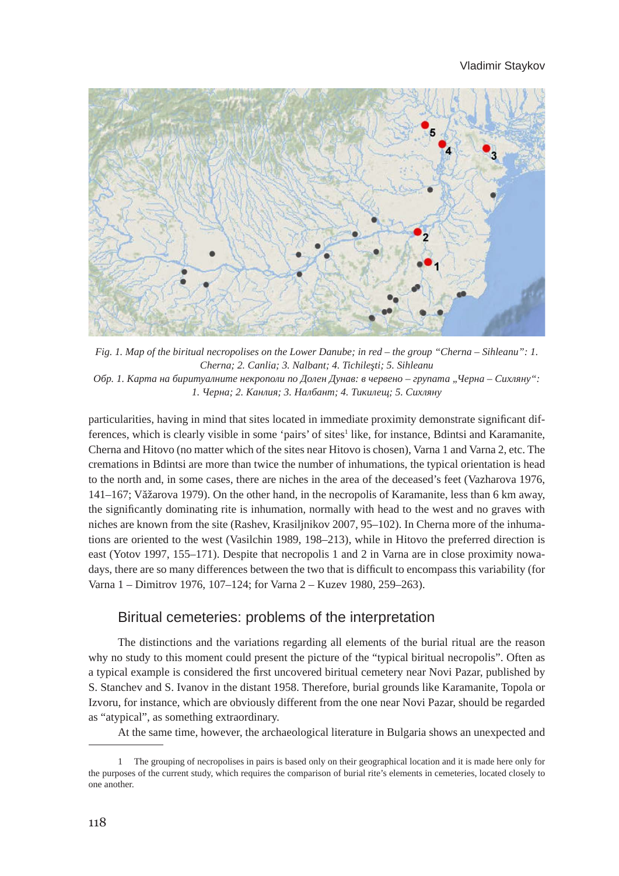

*Fig. 1. Map of the biritual necropolises on the Lower Danube; in red – the group "Cherna – Sihleanu": 1. Cherna; 2. Canlia; 3. Nalbant; 4. Tichileşti; 5. Sihleanu Обр. 1. Карта на биритуалните некрополи по Долен Дунав: в червено – групата "Черна – Сихляну": 1. Черна; 2. Канлия; 3. Налбант; 4. Тикилещ; 5. Сихляну*

particularities, having in mind that sites located in immediate proximity demonstrate significant differences, which is clearly visible in some 'pairs' of sites<sup>1</sup> like, for instance, Bdintsi and Karamanite, Cherna and Hitovo (no matter which of the sites near Hitovo is chosen), Varna 1 and Varna 2, etc. The cremations in Bdintsi are more than twice the number of inhumations, the typical orientation is head to the north and, in some cases, there are niches in the area of the deceased's feet (Vazharova 1976, 141–167; Văžarova 1979). On the other hand, in the necropolis of Karamanite, less than 6 km away, the significantly dominating rite is inhumation, normally with head to the west and no graves with niches are known from the site (Rashev, Krasiljnikov 2007, 95–102). In Cherna more of the inhumations are oriented to the west (Vasilchin 1989, 198–213), while in Hitovo the preferred direction is east (Yotov 1997, 155–171). Despite that necropolis 1 and 2 in Varna are in close proximity nowadays, there are so many differences between the two that is difficult to encompass this variability (for Varna 1 – Dimitrov 1976, 107–124; for Varna 2 – Kuzev 1980, 259–263).

### Biritual cemeteries: problems of the interpretation

The distinctions and the variations regarding all elements of the burial ritual are the reason why no study to this moment could present the picture of the "typical biritual necropolis". Often as a typical example is considered the first uncovered biritual cemetery near Novi Pazar, published by S. Stanchev and S. Ivanov in the distant 1958. Therefore, burial grounds like Karamanite, Topola or Izvoru, for instance, which are obviously different from the one near Novi Pazar, should be regarded as "atypical", as something extraordinary.

At the same time, however, the archaeological literature in Bulgaria shows an unexpected and

<sup>1</sup> The grouping of necropolises in pairs is based only on their geographical location and it is made here only for the purposes of the current study, which requires the comparison of burial rite's elements in cemeteries, located closely to one another.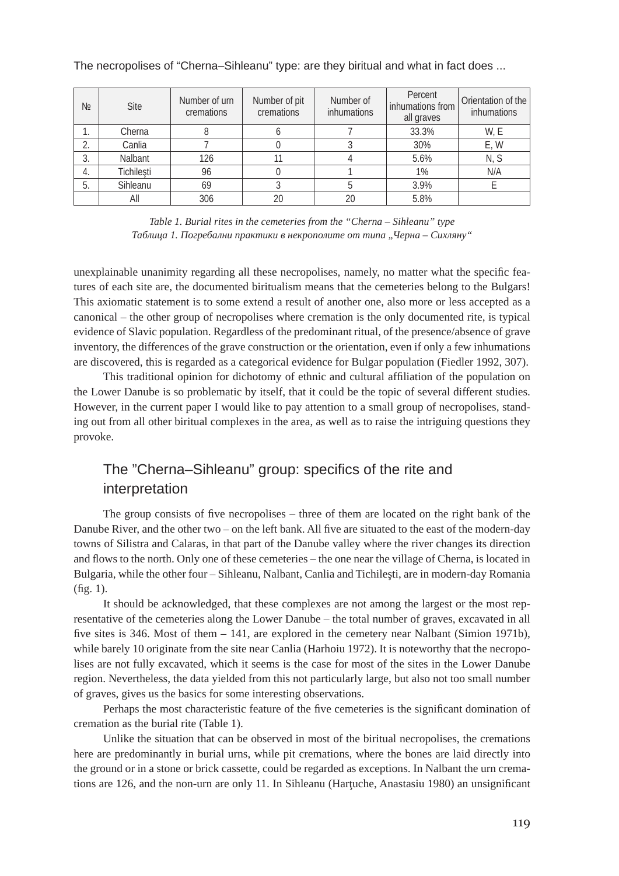| No | <b>Site</b> | Number of urn<br>cremations | Number of pit<br>cremations | Number of<br>inhumations | Percent<br>inhumations from<br>all graves | Orientation of the<br>inhumations |
|----|-------------|-----------------------------|-----------------------------|--------------------------|-------------------------------------------|-----------------------------------|
| ı. | Cherna      |                             |                             |                          | 33.3%                                     | W, E                              |
| っ  | Canlia      |                             |                             |                          | 30%                                       | E, W                              |
| 3. | Nalbant     | 126                         | 11                          |                          | 5.6%                                      | N, S                              |
| 4. | Tichilești  | 96                          |                             |                          | 1%                                        | N/A                               |
| 5. | Sihleanu    | 69                          |                             |                          | 3.9%                                      |                                   |
|    | All         | 306                         | 20                          | 20                       | 5.8%                                      |                                   |

*Table 1. Burial rites in the cemeteries from the "Cherna – Sihleanu" type Таблица 1. Погребални практики в некрополите от типа "Черна – Сихляну"*

unexplainable unanimity regarding all these necropolises, namely, no matter what the specific features of each site are, the documented biritualism means that the cemeteries belong to the Bulgars! This axiomatic statement is to some extend a result of another one, also more or less accepted as a canonical – the other group of necropolises where cremation is the only documented rite, is typical evidence of Slavic population. Regardless of the predominant ritual, of the presence/absence of grave inventory, the differences of the grave construction or the orientation, even if only a few inhumations are discovered, this is regarded as a categorical evidence for Bulgar population (Fiedler 1992, 307).

This traditional opinion for dichotomy of ethnic and cultural affiliation of the population on the Lower Danube is so problematic by itself, that it could be the topic of several different studies. However, in the current paper I would like to pay attention to a small group of necropolises, standing out from all other biritual complexes in the area, as well as to raise the intriguing questions they provoke.

### The "Cherna–Sihleanu" group: specifics of the rite and interpretation

The group consists of five necropolises – three of them are located on the right bank of the Danube River, and the other two – on the left bank. All five are situated to the east of the modern-day towns of Silistra and Calaras, in that part of the Danube valley where the river changes its direction and flows to the north. Only one of these cemeteries – the one near the village of Cherna, is located in Bulgaria, while the other four – Sihleanu, Nalbant, Canlia and Tichileşti, are in modern-day Romania (fig. 1).

It should be acknowledged, that these complexes are not among the largest or the most representative of the cemeteries along the Lower Danube – the total number of graves, excavated in all five sites is 346. Most of them – 141, are explored in the cemetery near Nalbant (Simion 1971b), while barely 10 originate from the site near Canlia (Harhoiu 1972). It is noteworthy that the necropolises are not fully excavated, which it seems is the case for most of the sites in the Lower Danube region. Nevertheless, the data yielded from this not particularly large, but also not too small number of graves, gives us the basics for some interesting observations.

Perhaps the most characteristic feature of the five cemeteries is the significant domination of cremation as the burial rite (Table 1).

Unlike the situation that can be observed in most of the biritual necropolises, the cremations here are predominantly in burial urns, while pit cremations, where the bones are laid directly into the ground or in a stone or brick cassette, could be regarded as exceptions. In Nalbant the urn cremations are 126, and the non-urn are only 11. In Sihleanu (Hartuche, Anastasiu 1980) an unsignificant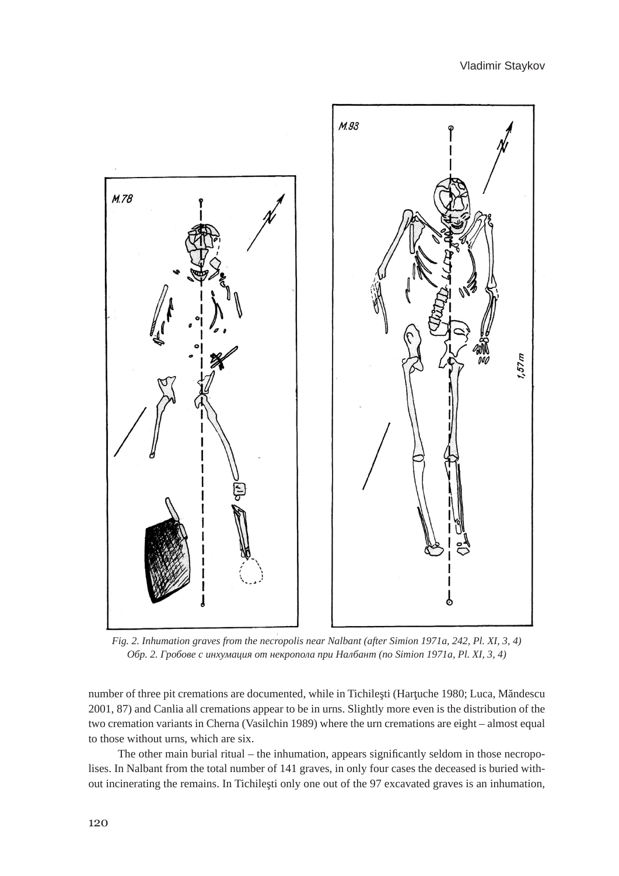

*Fig. 2. Inhumation graves from the necropolis near Nalbant (after Simion 1971a, 242, Pl. XI, 3, 4) Обр. 2. Гробове с инхумация от некропола при Налбант (по Simion 1971a, Pl. XI, 3, 4)*

number of three pit cremations are documented, while in Tichileşti (Harţuche 1980; Luca, Măndescu 2001, 87) and Canlia all cremations appear to be in urns. Slightly more even is the distribution of the two cremation variants in Cherna (Vasilchin 1989) where the urn cremations are eight – almost equal to those without urns, which are six.

The other main burial ritual – the inhumation, appears significantly seldom in those necropolises. In Nalbant from the total number of 141 graves, in only four cases the deceased is buried without incinerating the remains. In Tichileşti only one out of the 97 excavated graves is an inhumation,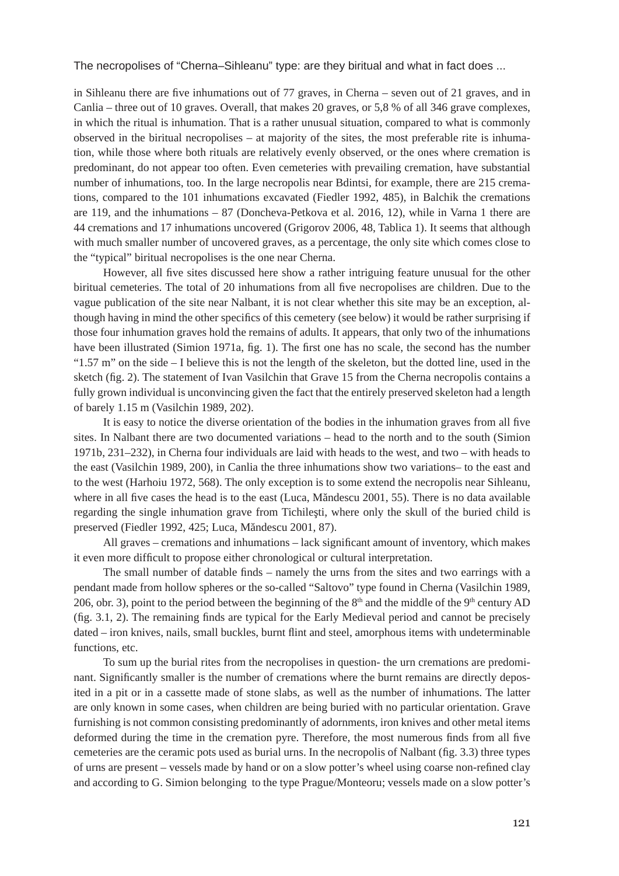in Sihleanu there are five inhumations out of 77 graves, in Cherna – seven out of 21 graves, and in Canlia – three out of 10 graves. Overall, that makes 20 graves, or 5,8 % of all 346 grave complexes, in which the ritual is inhumation. That is a rather unusual situation, compared to what is commonly observed in the biritual necropolises – at majority of the sites, the most preferable rite is inhumation, while those where both rituals are relatively evenly observed, or the ones where cremation is predominant, do not appear too often. Even cemeteries with prevailing cremation, have substantial number of inhumations, too. In the large necropolis near Bdintsi, for example, there are 215 cremations, compared to the 101 inhumations excavated (Fiedler 1992, 485), in Balchik the cremations are 119, and the inhumations – 87 (Doncheva-Petkova et al. 2016, 12), while in Varna 1 there are 44 cremations and 17 inhumations uncovered (Grigorov 2006, 48, Tablica 1). It seems that although with much smaller number of uncovered graves, as a percentage, the only site which comes close to the "typical" biritual necropolises is the one near Cherna.

However, all five sites discussed here show a rather intriguing feature unusual for the other biritual cemeteries. The total of 20 inhumations from all five necropolises are children. Due to the vague publication of the site near Nalbant, it is not clear whether this site may be an exception, although having in mind the other specifics of this cemetery (see below) it would be rather surprising if those four inhumation graves hold the remains of adults. It appears, that only two of the inhumations have been illustrated (Simion 1971a, fig. 1). The first one has no scale, the second has the number " $1.57$  m" on the side  $-$  I believe this is not the length of the skeleton, but the dotted line, used in the sketch (fig. 2). The statement of Ivan Vasilchin that Grave 15 from the Cherna necropolis contains a fully grown individual is unconvincing given the fact that the entirely preserved skeleton had a length of barely 1.15 m (Vasilchin 1989, 202).

It is easy to notice the diverse orientation of the bodies in the inhumation graves from all five sites. In Nalbant there are two documented variations – head to the north and to the south (Simion 1971b, 231–232), in Cherna four individuals are laid with heads to the west, and two – with heads to the east (Vasilchin 1989, 200), in Canlia the three inhumations show two variations– to the east and to the west (Harhoiu 1972, 568). The only exception is to some extend the necropolis near Sihleanu, where in all five cases the head is to the east (Luca, Măndescu 2001, 55). There is no data available regarding the single inhumation grave from Tichileşti, where only the skull of the buried child is preserved (Fiedler 1992, 425; Luca, Măndescu 2001, 87).

All graves – cremations and inhumations – lack significant amount of inventory, which makes it even more difficult to propose either chronological or cultural interpretation.

The small number of datable finds – namely the urns from the sites and two earrings with a pendant made from hollow spheres or the so-called "Saltovo" type found in Cherna (Vasilchin 1989, 206, obr. 3), point to the period between the beginning of the  $8<sup>th</sup>$  and the middle of the  $9<sup>th</sup>$  century AD (fig. 3.1, 2). The remaining finds are typical for the Early Medieval period and cannot be precisely dated – iron knives, nails, small buckles, burnt flint and steel, amorphous items with undeterminable functions, etc.

To sum up the burial rites from the necropolises in question- the urn cremations are predominant. Significantly smaller is the number of cremations where the burnt remains are directly deposited in a pit or in a cassette made of stone slabs, as well as the number of inhumations. The latter are only known in some cases, when children are being buried with no particular orientation. Grave furnishing is not common consisting predominantly of adornments, iron knives and other metal items deformed during the time in the cremation pyre. Therefore, the most numerous finds from all five cemeteries are the ceramic pots used as burial urns. In the necropolis of Nalbant (fig. 3.3) three types of urns are present – vessels made by hand or on a slow potter's wheel using coarse non-refined clay and according to G. Simion belonging to the type Prague/Monteoru; vessels made on a slow potter's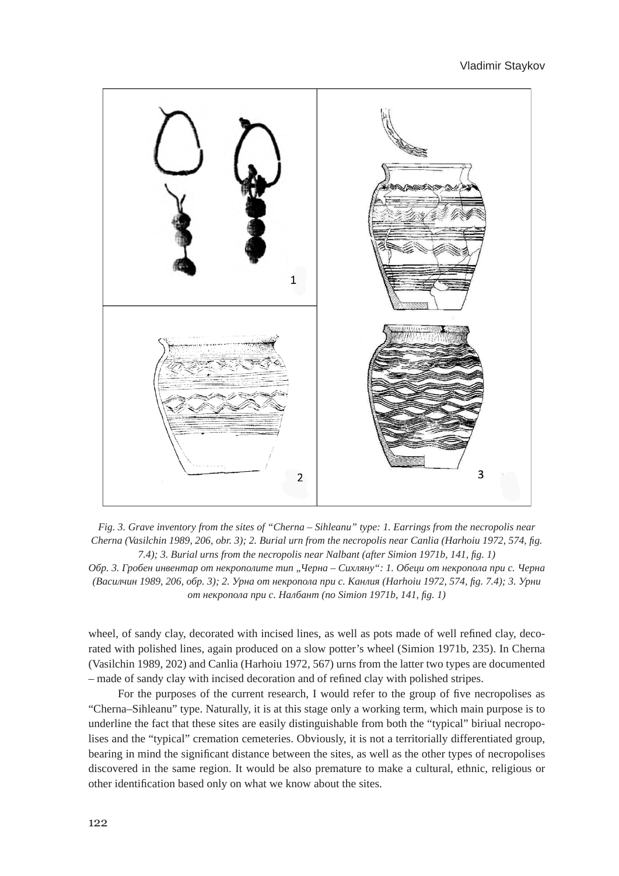

*Fig. 3. Grave inventory from the sites of "Cherna – Sihleanu" type: 1. Earrings from the necropolis near Cherna (Vasilchin 1989, 206, obr. 3); 2. Burial urn from the necropolis near Canlia (Harhoiu 1972, 574, fig. 7.4); 3. Burial urns from the necropolis near Nalbant (after Simion 1971b, 141, fig. 1) Обр. 3. Гробен инвентар от некрополите тип "Черна – Сихляну": 1. Обеци от некропола при с. Черна (Василчин 1989, 206, обр. 3); 2. Урна от некропола при с. Канлия (Harhoiu 1972, 574, fig. 7.4); 3. Урни* 

*от некропола при с. Налбант (по Simion 1971b, 141, fig. 1)*

wheel, of sandy clay, decorated with incised lines, as well as pots made of well refined clay, decorated with polished lines, again produced on a slow potter's wheel (Simion 1971b, 235). In Cherna (Vasilchin 1989, 202) and Canlia (Harhoiu 1972, 567) urns from the latter two types are documented – made of sandy clay with incised decoration and of refined clay with polished stripes.

For the purposes of the current research, I would refer to the group of five necropolises as "Cherna–Sihleanu" type. Naturally, it is at this stage only a working term, which main purpose is to underline the fact that these sites are easily distinguishable from both the "typical" biriual necropolises and the "typical" cremation cemeteries. Obviously, it is not a territorially differentiated group, bearing in mind the significant distance between the sites, as well as the other types of necropolises discovered in the same region. It would be also premature to make a cultural, ethnic, religious or other identification based only on what we know about the sites.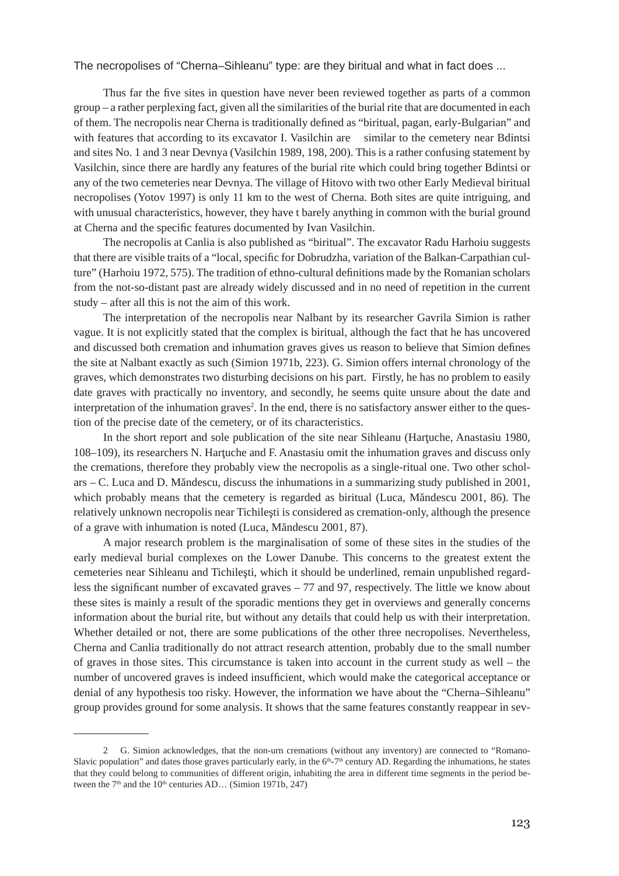Thus far the five sites in question have never been reviewed together as parts of a common group – a rather perplexing fact, given all the similarities of the burial rite that are documented in each of them. The necropolis near Cherna is traditionally defined as "biritual, pagan, early-Bulgarian" and with features that according to its excavator I. Vasilchin are similar to the cemetery near Bdintsi and sites No. 1 and 3 near Devnya (Vasilchin 1989, 198, 200). This is a rather confusing statement by Vasilchin, since there are hardly any features of the burial rite which could bring together Bdintsi or any of the two cemeteries near Devnya. The village of Hitovo with two other Early Medieval biritual necropolises (Yotov 1997) is only 11 km to the west of Cherna. Both sites are quite intriguing, and with unusual characteristics, however, they have t barely anything in common with the burial ground at Cherna and the specific features documented by Ivan Vasilchin.

The necropolis at Canlia is also published as "biritual". The excavator Radu Harhoiu suggests that there are visible traits of a "local, specific for Dobrudzha, variation of the Balkan-Carpathian culture" (Harhoiu 1972, 575). The tradition of ethno-cultural definitions made by the Romanian scholars from the not-so-distant past are already widely discussed and in no need of repetition in the current study – after all this is not the aim of this work.

The interpretation of the necropolis near Nalbant by its researcher Gavrila Simion is rather vague. It is not explicitly stated that the complex is biritual, although the fact that he has uncovered and discussed both cremation and inhumation graves gives us reason to believe that Simion defines the site at Nalbant exactly as such (Simion 1971b, 223). G. Simion offers internal chronology of the graves, which demonstrates two disturbing decisions on his part. Firstly, he has no problem to easily date graves with practically no inventory, and secondly, he seems quite unsure about the date and interpretation of the inhumation graves<sup>2</sup>. In the end, there is no satisfactory answer either to the question of the precise date of the cemetery, or of its characteristics.

In the short report and sole publication of the site near Sihleanu (Harţuche, Anastasiu 1980, 108–109), its researchers N. Hartuche and F. Anastasiu omit the inhumation graves and discuss only the cremations, therefore they probably view the necropolis as a single-ritual one. Two other scholars – C. Luca and D. Măndescu, discuss the inhumations in a summarizing study published in 2001, which probably means that the cemetery is regarded as biritual (Luca, Măndescu 2001, 86). The relatively unknown necropolis near Tichileşti is considered as cremation-only, although the presence of a grave with inhumation is noted (Luca, Măndescu 2001, 87).

A major research problem is the marginalisation of some of these sites in the studies of the early medieval burial complexes on the Lower Danube. This concerns to the greatest extent the cemeteries near Sihleanu and Tichileşti, which it should be underlined, remain unpublished regardless the significant number of excavated graves – 77 and 97, respectively. The little we know about these sites is mainly a result of the sporadic mentions they get in overviews and generally concerns information about the burial rite, but without any details that could help us with their interpretation. Whether detailed or not, there are some publications of the other three necropolises. Nevertheless, Cherna and Canlia traditionally do not attract research attention, probably due to the small number of graves in those sites. This circumstance is taken into account in the current study as well – the number of uncovered graves is indeed insufficient, which would make the categorical acceptance or denial of any hypothesis too risky. However, the information we have about the "Cherna–Sihleanu" group provides ground for some analysis. It shows that the same features constantly reappear in sev-

<sup>2</sup> G. Simion acknowledges, that the non-urn cremations (without any inventory) are connected to "Romano-Slavic population" and dates those graves particularly early, in the  $6<sup>th</sup>-7<sup>th</sup>$  century AD. Regarding the inhumations, he states that they could belong to communities of different origin, inhabiting the area in different time segments in the period between the  $7<sup>th</sup>$  and the  $10<sup>th</sup>$  centuries AD... (Simion 1971b, 247)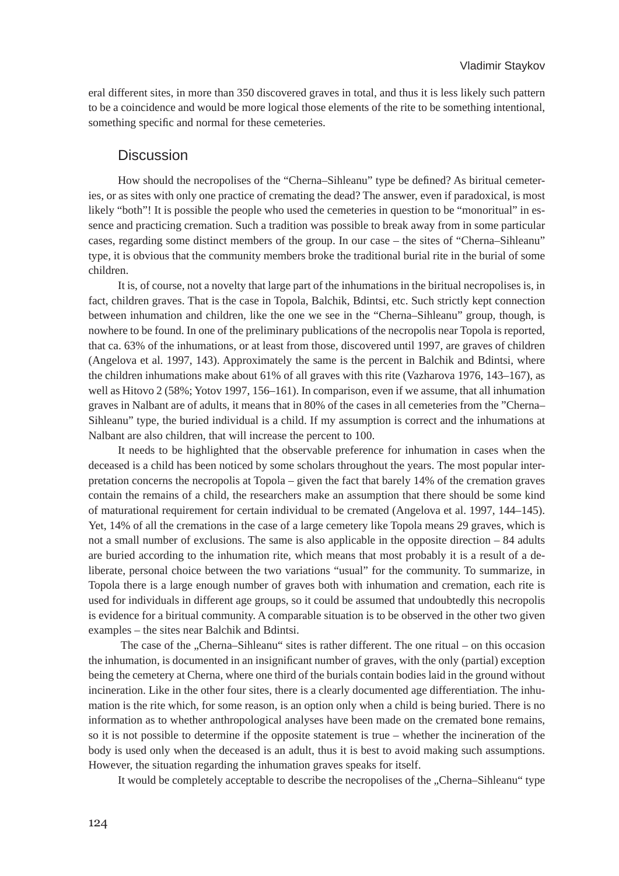eral different sites, in more than 350 discovered graves in total, and thus it is less likely such pattern to be a coincidence and would be more logical those elements of the rite to be something intentional, something specific and normal for these cemeteries.

### **Discussion**

How should the necropolises of the "Cherna–Sihleanu" type be defined? As biritual cemeteries, or as sites with only one practice of cremating the dead? The answer, even if paradoxical, is most likely "both"! It is possible the people who used the cemeteries in question to be "monoritual" in essence and practicing cremation. Such a tradition was possible to break away from in some particular cases, regarding some distinct members of the group. In our case – the sites of "Cherna–Sihleanu" type, it is obvious that the community members broke the traditional burial rite in the burial of some children.

It is, of course, not a novelty that large part of the inhumations in the biritual necropolises is, in fact, children graves. That is the case in Topola, Balchik, Bdintsi, etc. Such strictly kept connection between inhumation and children, like the one we see in the "Cherna–Sihleanu" group, though, is nowhere to be found. In one of the preliminary publications of the necropolis near Topola is reported, that ca. 63% of the inhumations, or at least from those, discovered until 1997, are graves of children (Angelova et al. 1997, 143). Approximately the same is the percent in Balchik and Bdintsi, where the children inhumations make about 61% of all graves with this rite (Vazharova 1976, 143–167), as well as Hitovo 2 (58%; Yotov 1997, 156–161). In comparison, even if we assume, that all inhumation graves in Nalbant are of adults, it means that in 80% of the cases in all cemeteries from the "Cherna– Sihleanu" type, the buried individual is a child. If my assumption is correct and the inhumations at Nalbant are also children, that will increase the percent to 100.

It needs to be highlighted that the observable preference for inhumation in cases when the deceased is a child has been noticed by some scholars throughout the years. The most popular interpretation concerns the necropolis at Topola – given the fact that barely 14% of the cremation graves contain the remains of a child, the researchers make an assumption that there should be some kind of maturational requirement for certain individual to be cremated (Angelova et al. 1997, 144–145). Yet, 14% of all the cremations in the case of a large cemetery like Topola means 29 graves, which is not a small number of exclusions. The same is also applicable in the opposite direction – 84 adults are buried according to the inhumation rite, which means that most probably it is a result of a deliberate, personal choice between the two variations "usual" for the community. To summarize, in Topola there is a large enough number of graves both with inhumation and cremation, each rite is used for individuals in different age groups, so it could be assumed that undoubtedly this necropolis is evidence for a biritual community. A comparable situation is to be observed in the other two given examples – the sites near Balchik and Bdintsi.

The case of the "Cherna–Sihleanu" sites is rather different. The one ritual – on this occasion the inhumation, is documented in an insignificant number of graves, with the only (partial) exception being the cemetery at Cherna, where one third of the burials contain bodies laid in the ground without incineration. Like in the other four sites, there is a clearly documented age differentiation. The inhumation is the rite which, for some reason, is an option only when a child is being buried. There is no information as to whether anthropological analyses have been made on the cremated bone remains, so it is not possible to determine if the opposite statement is true – whether the incineration of the body is used only when the deceased is an adult, thus it is best to avoid making such assumptions. However, the situation regarding the inhumation graves speaks for itself.

It would be completely acceptable to describe the necropolises of the "Cherna–Sihleanu" type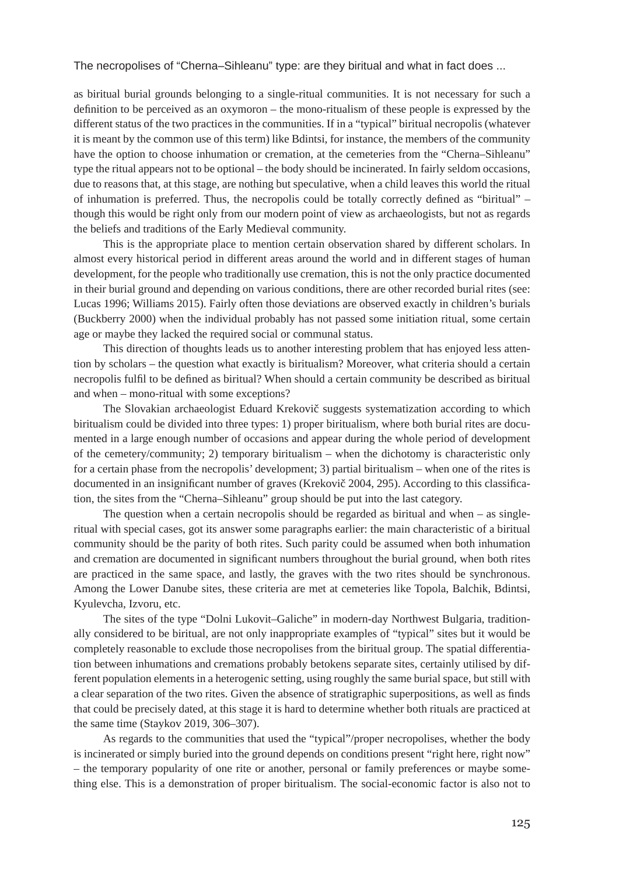as biritual burial grounds belonging to a single-ritual communities. It is not necessary for such a definition to be perceived as an oxymoron – the mono-ritualism of these people is expressed by the different status of the two practices in the communities. If in a "typical" biritual necropolis (whatever it is meant by the common use of this term) like Bdintsi, for instance, the members of the community have the option to choose inhumation or cremation, at the cemeteries from the "Cherna–Sihleanu" type the ritual appears not to be optional – the body should be incinerated. In fairly seldom occasions, due to reasons that, at this stage, are nothing but speculative, when a child leaves this world the ritual of inhumation is preferred. Thus, the necropolis could be totally correctly defined as "biritual" – though this would be right only from our modern point of view as archaeologists, but not as regards the beliefs and traditions of the Early Medieval community.

This is the appropriate place to mention certain observation shared by different scholars. In almost every historical period in different areas around the world and in different stages of human development, for the people who traditionally use cremation, this is not the only practice documented in their burial ground and depending on various conditions, there are other recorded burial rites (see: Lucas 1996; Williams 2015). Fairly often those deviations are observed exactly in children's burials (Buckberry 2000) when the individual probably has not passed some initiation ritual, some certain age or maybe they lacked the required social or communal status.

This direction of thoughts leads us to another interesting problem that has enjoyed less attention by scholars – the question what exactly is biritualism? Moreover, what criteria should a certain necropolis fulfil to be defined as biritual? When should a certain community be described as biritual and when – mono-ritual with some exceptions?

The Slovakian archaeologist Eduard Krekovič suggests systematization according to which biritualism could be divided into three types: 1) proper biritualism, where both burial rites are documented in a large enough number of occasions and appear during the whole period of development of the cemetery/community; 2) temporary biritualism – when the dichotomy is characteristic only for a certain phase from the necropolis' development; 3) partial biritualism – when one of the rites is documented in an insignificant number of graves (Krekovič 2004, 295). According to this classification, the sites from the "Cherna–Sihleanu" group should be put into the last category.

The question when a certain necropolis should be regarded as biritual and when – as singleritual with special cases, got its answer some paragraphs earlier: the main characteristic of a biritual community should be the parity of both rites. Such parity could be assumed when both inhumation and cremation are documented in significant numbers throughout the burial ground, when both rites are practiced in the same space, and lastly, the graves with the two rites should be synchronous. Among the Lower Danube sites, these criteria are met at cemeteries like Topola, Balchik, Bdintsi, Kyulevcha, Izvoru, etc.

The sites of the type "Dolni Lukovit–Galiche" in modern-day Northwest Bulgaria, traditionally considered to be biritual, are not only inappropriate examples of "typical" sites but it would be completely reasonable to exclude those necropolises from the biritual group. The spatial differentiation between inhumations and cremations probably betokens separate sites, certainly utilised by different population elements in a heterogenic setting, using roughly the same burial space, but still with a clear separation of the two rites. Given the absence of stratigraphic superpositions, as well as finds that could be precisely dated, at this stage it is hard to determine whether both rituals are practiced at the same time (Staykov 2019, 306–307).

As regards to the communities that used the "typical"/proper necropolises, whether the body is incinerated or simply buried into the ground depends on conditions present "right here, right now" – the temporary popularity of one rite or another, personal or family preferences or maybe something else. This is a demonstration of proper biritualism. The social-economic factor is also not to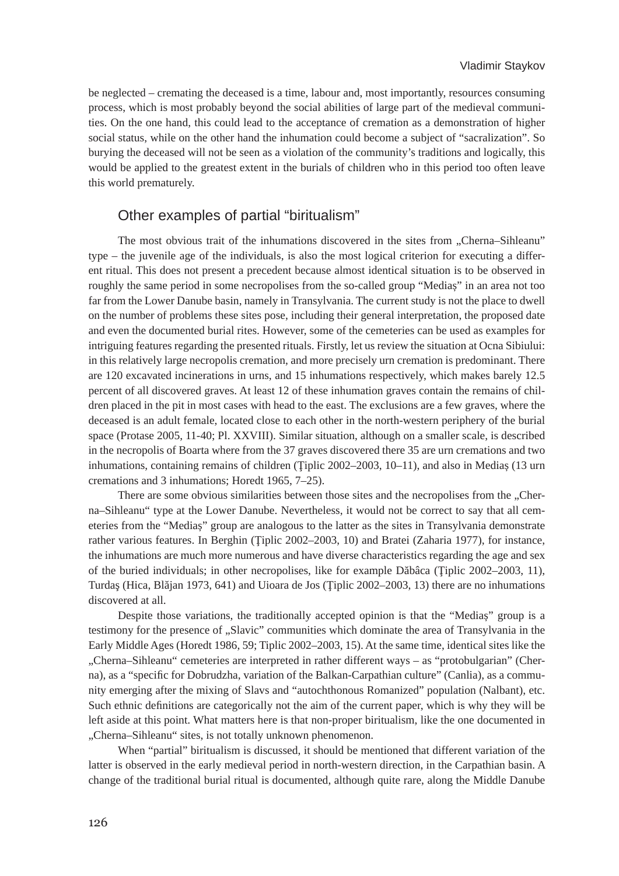be neglected – cremating the deceased is a time, labour and, most importantly, resources consuming process, which is most probably beyond the social abilities of large part of the medieval communities. On the one hand, this could lead to the acceptance of cremation as a demonstration of higher social status, while on the other hand the inhumation could become a subject of "sacralization". So burying the deceased will not be seen as a violation of the community's traditions and logically, this would be applied to the greatest extent in the burials of children who in this period too often leave this world prematurely.

### Other examples of partial "biritualism"

The most obvious trait of the inhumations discovered in the sites from "Cherna–Sihleanu" type – the juvenile age of the individuals, is also the most logical criterion for executing a different ritual. This does not present a precedent because almost identical situation is to be observed in roughly the same period in some necropolises from the so-called group "Mediaș" in an area not too far from the Lower Danube basin, namely in Transylvania. The current study is not the place to dwell on the number of problems these sites pose, including their general interpretation, the proposed date and even the documented burial rites. However, some of the cemeteries can be used as examples for intriguing features regarding the presented rituals. Firstly, let us review the situation at Ocna Sibiului: in this relatively large necropolis cremation, and more precisely urn cremation is predominant. There are 120 excavated incinerations in urns, and 15 inhumations respectively, which makes barely 12.5 percent of all discovered graves. At least 12 of these inhumation graves contain the remains of children placed in the pit in most cases with head to the east. The exclusions are a few graves, where the deceased is an adult female, located close to each other in the north-western periphery of the burial space (Protase 2005, 11-40; Pl. XXVIII). Similar situation, although on a smaller scale, is described in the necropolis of Boarta where from the 37 graves discovered there 35 are urn cremations and two inhumations, containing remains of children (Ţiplic 2002–2003, 10–11), and also in Mediaș (13 urn cremations and 3 inhumations; Horedt 1965, 7–25).

There are some obvious similarities between those sites and the necropolises from the "Cherna–Sihleanu" type at the Lower Danube. Nevertheless, it would not be correct to say that all cemeteries from the "Mediaș" group are analogous to the latter as the sites in Transylvania demonstrate rather various features. In Berghin (Ţiplic 2002–2003, 10) and Bratei (Zaharia 1977), for instance, the inhumations are much more numerous and have diverse characteristics regarding the age and sex of the buried individuals; in other necropolises, like for example Dăbâca (Ţiplic 2002–2003, 11), Turdaş (Hica, Blăjan 1973, 641) and Uioara de Jos (Ţiplic 2002–2003, 13) there are no inhumations discovered at all.

Despite those variations, the traditionally accepted opinion is that the "Mediaș" group is a testimony for the presence of "Slavic" communities which dominate the area of Transylvania in the Early Middle Ages (Horedt 1986, 59; Tiplic 2002–2003, 15). At the same time, identical sites like the "Cherna–Sihleanu" cemeteries are interpreted in rather different ways – as "protobulgarian" (Cherna), as a "specific for Dobrudzha, variation of the Balkan-Carpathian culture" (Canlia), as a community emerging after the mixing of Slavs and "autochthonous Romanized" population (Nalbant), etc. Such ethnic definitions are categorically not the aim of the current paper, which is why they will be left aside at this point. What matters here is that non-proper biritualism, like the one documented in "Cherna–Sihleanu" sites, is not totally unknown phenomenon.

When "partial" biritualism is discussed, it should be mentioned that different variation of the latter is observed in the early medieval period in north-western direction, in the Carpathian basin. A change of the traditional burial ritual is documented, although quite rare, along the Middle Danube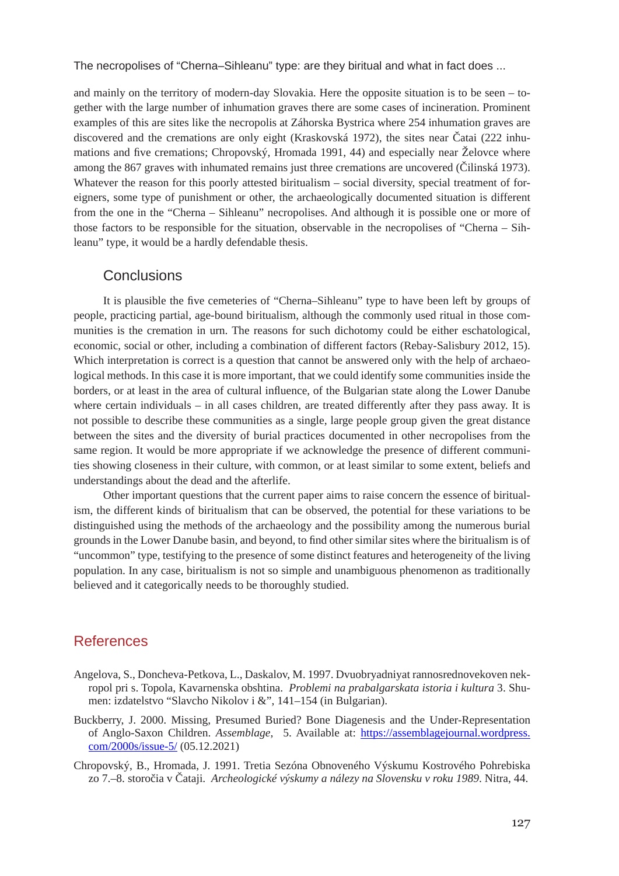and mainly on the territory of modern-day Slovakia. Here the opposite situation is to be seen – together with the large number of inhumation graves there are some cases of incineration. Prominent examples of this are sites like the necropolis at Záhorska Bystrica where 254 inhumation graves are discovered and the cremations are only eight (Kraskovská 1972), the sites near Čatai (222 inhumations and five cremations; Chropovský, Hromada 1991, 44) and especially near Želovce where among the 867 graves with inhumated remains just three cremations are uncovered (Čilinská 1973). Whatever the reason for this poorly attested biritualism – social diversity, special treatment of foreigners, some type of punishment or other, the archaeologically documented situation is different from the one in the "Cherna – Sihleanu" necropolises. And although it is possible one or more of those factors to be responsible for the situation, observable in the necropolises of "Cherna – Sihleanu" type, it would be a hardly defendable thesis.

### **Conclusions**

It is plausible the five cemeteries of "Cherna–Sihleanu" type to have been left by groups of people, practicing partial, age-bound biritualism, although the commonly used ritual in those communities is the cremation in urn. The reasons for such dichotomy could be either eschatological, economic, social or other, including a combination of different factors (Rebay-Salisbury 2012, 15). Which interpretation is correct is a question that cannot be answered only with the help of archaeological methods. In this case it is more important, that we could identify some communities inside the borders, or at least in the area of cultural influence, of the Bulgarian state along the Lower Danube where certain individuals – in all cases children, are treated differently after they pass away. It is not possible to describe these communities as a single, large people group given the great distance between the sites and the diversity of burial practices documented in other necropolises from the same region. It would be more appropriate if we acknowledge the presence of different communities showing closeness in their culture, with common, or at least similar to some extent, beliefs and understandings about the dead and the afterlife.

Other important questions that the current paper aims to raise concern the essence of biritualism, the different kinds of biritualism that can be observed, the potential for these variations to be distinguished using the methods of the archaeology and the possibility among the numerous burial grounds in the Lower Danube basin, and beyond, to find other similar sites where the biritualism is of "uncommon" type, testifying to the presence of some distinct features and heterogeneity of the living population. In any case, biritualism is not so simple and unambiguous phenomenon as traditionally believed and it categorically needs to be thoroughly studied.

### References

- Angelova, S., Doncheva-Petkova, L., Daskalov, M. 1997. Dvuobryadniyat rannosrednovekoven nekropol pri s. Topola, Kavarnenska obshtina. *Problemi na prabalgarskata istoria i kultura* 3. Shumen: izdatelstvo "Slavcho Nikolov i &", 141–154 (in Bulgarian).
- Buckberry, J. 2000. Missing, Presumed Buried? Bone Diagenesis and the Under-Representation of Anglo-Saxon Children. *Assemblage*, 5. Available at: [https://assemblagejournal.wordpress.](about:blank) [com/2000](about:blank)s/issue-5/ (05.12.2021)
- Chropovský, B., Hromada, J. 1991. Tretia Sezóna Obnoveného Výskumu Kostrového Pohrebiska zo 7.–8. storočia v Čataji. *Archeologické výskumy a nálezy na Slovensku v roku 1989*. Nitra, 44.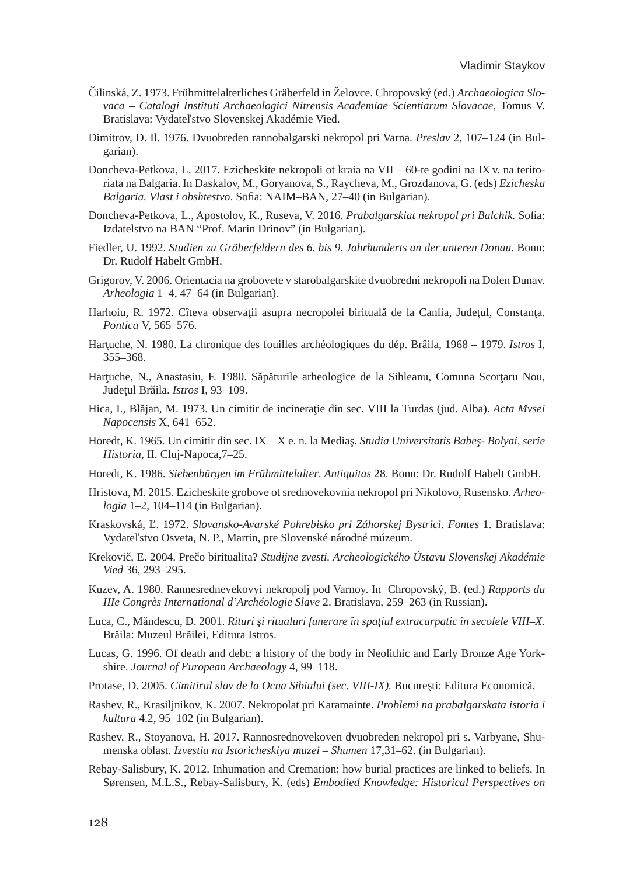- Čilinská, Z. 1973. Frühmittelalterliches Gräberfeld in Želovce. Chropovský (еd.) *Archaeologica Slovaca – Catalogi Instituti Archaeologici Nitrensis Academiae Scientiarum Slovacae*, Tomus V. Bratislava: Vydateľstvo Slovenskej Akadémie Vied.
- Dimitrov, D. Il. 1976. Dvuobreden rannobalgarski nekropol pri Varna. *Preslav* 2, 107–124 (in Bulgarian).
- Doncheva-Petkova, L. 2017. Ezicheskite nekropoli ot kraia na VII 60-te godini na IX v. na teritoriata na Balgaria. In Daskalov, M., Goryanova, S., Raycheva, M., Grozdanova, G. (eds) *Ezicheska Balgaria. Vlast i obshtestvo*. Sofia: NAIM–BAN, 27–40 (in Bulgarian).
- Doncheva-Petkova, L., Apostolov, K., Ruseva, V. 2016. *Prabalgarskiat nekropol pri Balchik.* Sofia: Izdatelstvo na BAN "Prof. Marin Drinov" (in Bulgarian).
- Fiedler, U. 1992. *Studien zu Gräberfeldern des 6. bis 9. Jahrhunderts an der unteren Donau.* Bonn: Dr. Rudolf Habelt GmbH.
- Grigorov, V. 2006. Orientacia na grobovete v starobalgarskite dvuobredni nekropoli na Dolen Dunav. *Arheologia* 1–4, 47–64 (in Bulgarian).
- Harhoiu, R. 1972. Cîteva observații asupra necropolei birituală de la Canlia, Județul, Constanța. *Pontica* V, 565–576.
- Harţuche, N. 1980. La chronique des fouilles archéologiques du dép. Brâila, 1968 1979. *Istros* I, 355–368.
- Hartuche, N., Anastasiu, F. 1980. Săpăturile arheologice de la Sihleanu, Comuna Scortaru Nou, Judeţul Brăila. *Istros* I, 93–109.
- Hica, I., Blăjan, M. 1973. Un cimitir de incineraţie din sec. VIII la Turdas (jud. Alba). *Acta Mvsei Napocensis* X, 641–652.
- Horedt, K. 1965. Un cimitir din sec. IX X e. n. la Mediaş. *Studia Universitatis Babeş- Bolyai, serie Historia*, II. Cluj-Napoca,7–25.
- Horedt, K. 1986. *Siebenbürgen im Frühmittelalter*. *Antiquitas* 28. Bonn: Dr. Rudolf Habelt GmbH.
- Hristova, M. 2015. Ezicheskite grobove ot srednovekovnia nekropol pri Nikolovo, Rusensko. *Arheologia* 1–2, 104–114 (in Bulgarian).
- Kraskovská, Ľ. 1972. *Slovansko-Avarské Pohrebisko pri Záhorskej Bystrici*. *Fontes* 1. Bratislava: Vydateľstvo Osveta, N. P., Martin, pre Slovenské národné múzeum.
- Krekovič, E. 2004. Prečo biritualita? *Studijne zvesti. Archeologického Ústavu Slovenskej Akadémie Vied* 36, 293–295.
- Kuzev, A. 1980. Rannesrednevekovyi nekropolj pod Varnoy. In Chropovský, B. (ed.) *Rapports du IIIe Congrès International d'Archéologie Slave* 2. Bratislava, 259–263 (in Russian).
- Luca, C., Măndescu, D. 2001. *Rituri și ritualuri funerare în spatiul extracarpatic în secolele VIII–X.* Brăila: Muzeul Brãilei, Editura Istros.
- Lucas, G. 1996. Of death and debt: a history of the body in Neolithic and Early Bronze Age Yorkshire. *Journal of European Archaeology* 4, 99–118.
- Protase, D. 2005. *Cimitirul slav de la Ocna Sibiului (sec. VIII-IX).* Bucureşti: Editura Economică.
- Rashev, R., Krasiljnikov, K. 2007. Nekropolat pri Karamainte. *Problemi na prabalgarskata istoria i kultura* 4.2, 95–102 (in Bulgarian).
- Rashev, R., Stoyanova, H. 2017. Rannosrednovekoven dvuobreden nekropol pri s. Varbyane, Shumenska oblast. *Izvestia na Istoricheskiya muzei – Shumen* 17,31–62. (in Bulgarian).
- Rebay-Salisbury, K. 2012. Inhumation and Cremation: how burial practices are linked to beliefs. In Sørensen, M.L.S., Rebay-Salisbury, K. (eds) *Embodied Knowledge: Historical Perspectives on*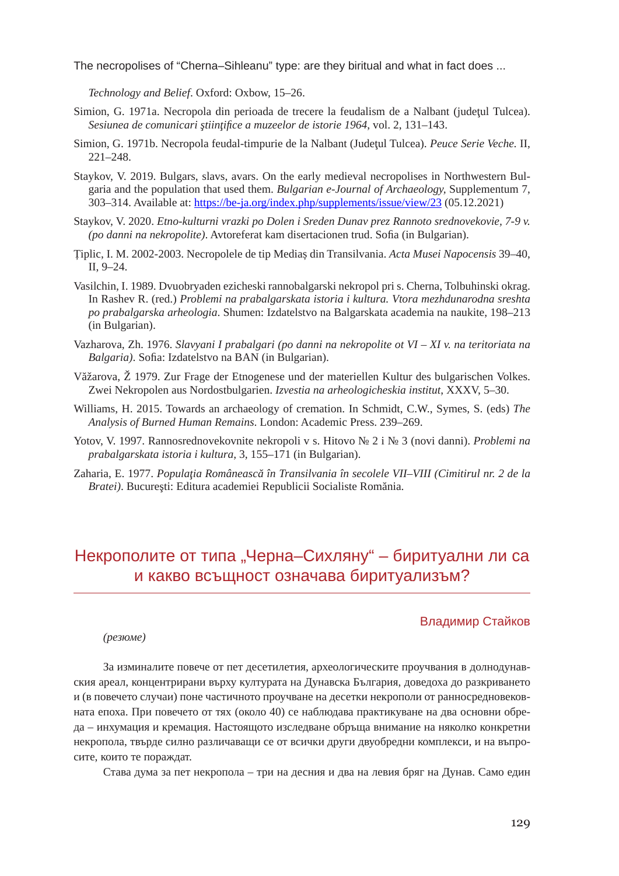*Technology and Belief*. Oxford: Oxbow, 15–26.

- Simion, G. 1971a. Necropola din perioada de trecere la feudalism de a Nalbant (judetul Tulcea). *Sesiunea de comunicari ştiinţifice a muzeelor de istorie 1964*, vol. 2, 131–143.
- Simion, G. 1971b. Necropola feudal-timpurie de la Nalbant (Judeţul Tulcea). *Peuce Serie Veche.* II, 221–248.
- Staykov, V. 2019. Bulgars, slavs, avars. On the early medieval necropolises in Northwestern Bulgaria and the population that used them. *Bulgarian e-Journal of Archaeology,* Supplementum 7, 303–314. Available at: [https://be-ja.org/index.php/supplements/issue/view/23](about:blank) (05.12.2021)
- Staykov, V. 2020. *Etno-kulturni vrazki po Dolen i Sreden Dunav prez Rannoto srednovekovie, 7-9 v. (po danni na nekropolite)*. Avtoreferat kam disertacionen trud. Sofia (in Bulgarian).
- Țiplic, I. M. 2002-2003. Necropolele de tip Mediaș din Transilvania. *Acta Musei Napocensis* 39–40, II, 9–24.
- Vasilchin, I. 1989. Dvuobryaden ezicheski rannobalgarski nekropol pri s. Cherna, Tolbuhinski okrag. In Rashev R. (red.) *Problemi na prabalgarskata istoria i kultura. Vtora mezhdunarodna sreshta po prabalgarska arheologia*. Shumen: Izdatelstvo na Balgarskata academia na naukite, 198–213 (in Bulgarian).
- Vazharova, Zh. 1976. *Slavyani I prabalgari (po danni na nekropolite ot VI XI v. na teritoriata na Balgaria)*. Sofia: Izdatelstvo na BAN (in Bulgarian).
- Văžarova, Ž 1979. Zur Frage der Etnogenese und der materiellen Kultur des bulgarischen Volkes. Zwei Nekropolen aus Nordostbulgarien. *Izvestia na arheologicheskia institut*, ХХХV, 5–30.
- Williams, H. 2015. Towards an archaeology of cremation. In Schmidt, C.W., Symes, S. (eds) *The Analysis of Burned Human Remains*. London: Academic Press. 239–269.
- Yotov, V. 1997. Rannosrednovekovnite nekropoli v s. Hitovo № 2 i № 3 (novi danni). *Problemi na prabalgarskata istoria i kultura*, 3, 155–171 (in Bulgarian).
- Zaharia, E. 1977. *Populaţia Românească în Transilvania în secolele VII–VIII (Cimitirul nr. 2 de la Bratei)*. Bucureşti: Editura academiei Republicii Socialiste Romănia.

# Некрополите от типа "Черна–Сихляну" – биритуални ли са и какво всъщност означава биритуализъм?

#### Владимир Стайков

*(резюме)*

За изминалите повече от пет десетилетия, археологическите проучвания в долнодунавския ареал, концентрирани върху културата на Дунавска България, доведоха до разкриването и (в повечето случаи) поне частичното проучване на десетки некрополи от ранносредновековната епоха. При повечето от тях (около 40) се наблюдава практикуване на два основни обреда – инхумация и кремация. Настоящото изследване обръща внимание на няколко конкретни некропола, твърде силно различаващи се от всички други двуобредни комплекси, и на въпросите, които те пораждат.

Става дума за пет некропола – три на десния и два на левия бряг на Дунав. Само един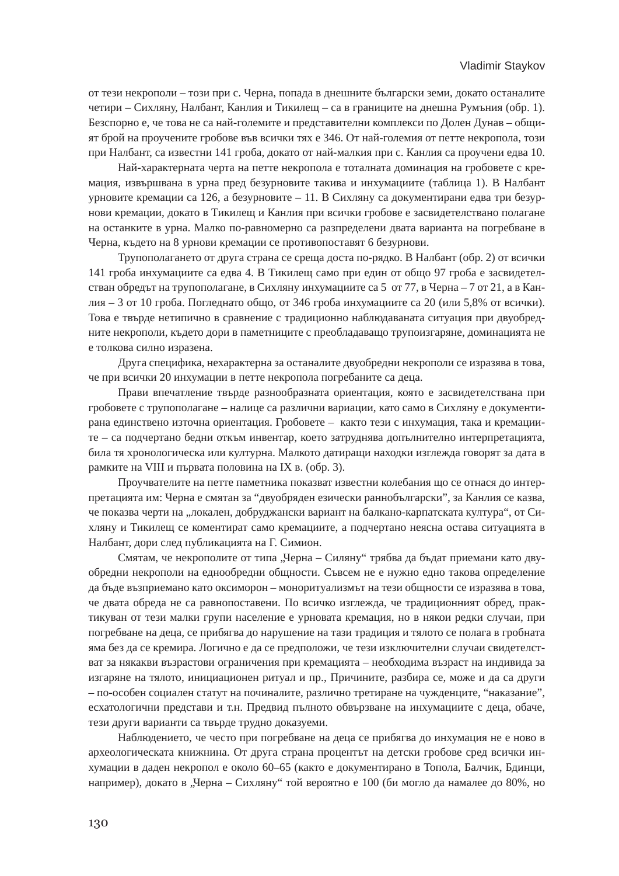от тези некрополи – този при с. Черна, попада в днешните български земи, докато останалите четири – Сихляну, Налбант, Канлия и Тикилещ – са в границите на днешна Румъния (обр. 1). Безспорно е, че това не са най-големите и представителни комплекси по Долен Дунав – общият брой на проучените гробове във всички тях е 346. От най-големия от петте некропола, този при Налбант, са известни 141 гроба, докато от най-малкия при с. Канлия са проучени едва 10.

Най-характерната черта на петте некропола е тоталната доминация на гробовете с кремация, извършвана в урна пред безурновите такива и инхумациите (таблица 1). В Налбант урновите кремации са 126, а безурновите – 11. В Сихляну са документирани едва три безурнови кремации, докато в Тикилещ и Канлия при всички гробове е засвидетелствано полагане на останките в урна. Малко по-равномерно са разпределени двата варианта на погребване в Черна, където на 8 урнови кремации се противопоставят 6 безурнови.

Трупополагането от друга страна се среща доста по-рядко. В Налбант (обр. 2) от всички 141 гроба инхумациите са едва 4. В Тикилещ само при един от общо 97 гроба е засвидетелстван обредът на трупополагане, в Сихляну инхумациите са 5 от 77, в Черна – 7 от 21, а в Канлия – 3 от 10 гроба. Погледнато общо, от 346 гроба инхумациите са 20 (или 5,8% от всички). Това е твърде нетипично в сравнение с традиционно наблюдаваната ситуация при двуобредните некрополи, където дори в паметниците с преобладаващо трупоизгаряне, доминацията не е толкова силно изразена.

Друга специфика, нехарактерна за останалите двуобредни некрополи се изразява в това, че при всички 20 инхумации в петте некропола погребаните са деца.

Прави впечатление твърде разнообразната ориентация, която е засвидетелствана при гробовете с трупополагане – налице са различни вариации, като само в Сихляну е документирана единствено източна ориентация. Гробовете – както тези с инхумация, така и кремациите – са подчертано бедни откъм инвентар, което затруднява допълнително интерпретацията, била тя хронологическа или културна. Малкото датиращи находки изглежда говорят за дата в рамките на VІІІ и първата половина на ІХ в. (обр. 3).

Проучвателите на петте паметника показват известни колебания що се отнася до интерпретацията им: Черна е смятан за "двуобряден езически раннобългарски", за Канлия се казва, че показва черти на "локален, добруджански вариант на балкано-карпатската култура", от Сихляну и Тикилещ се коментират само кремациите, а подчертано неясна остава ситуацията в Налбант, дори след публикацията на Г. Симион.

Смятам, че некрополите от типа "Черна – Силяну" трябва да бъдат приемани като двуобредни некрополи на еднообредни общности. Съвсем не е нужно едно такова определение да бъде възприемано като оксиморон – моноритуализмът на тези общности се изразява в това, че двата обреда не са равнопоставени. По всичко изглежда, че традиционният обред, практикуван от тези малки групи население е урновата кремация, но в някои редки случаи, при погребване на деца, се прибягва до нарушение на тази традиция и тялото се полага в гробната яма без да се кремира. Логично е да се предположи, че тези изключителни случаи свидетелстват за някакви възрастови ограничения при кремацията – необходима възраст на индивида за изгаряне на тялото, инициационен ритуал и пр., Причините, разбира се, може и да са други – по-особен социален статут на починалите, различно третиране на чужденците, "наказание", есхатологични представи и т.н. Предвид пълното обвързване на инхумациите с деца, обаче, тези други варианти са твърде трудно доказуеми.

Наблюдението, че често при погребване на деца се прибягва до инхумация не е ново в археологическата книжнина. От друга страна процентът на детски гробове сред всички инхумации в даден некропол е около 60–65 (както е документирано в Топола, Балчик, Бдинци, например), докато в "Черна – Сихляну" той вероятно е 100 (би могло да намалее до 80%, но